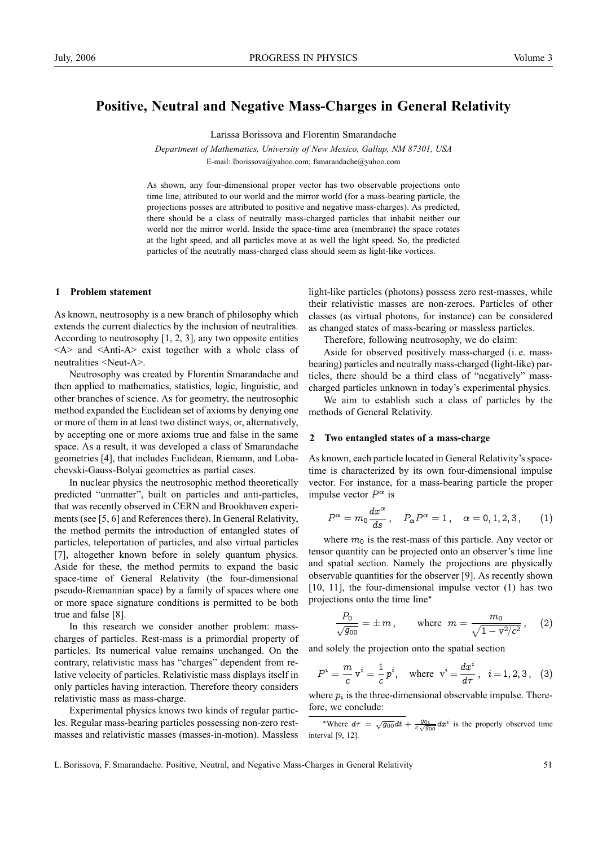# **Positive, Neutral and Negative Mass-Charges in General Relativity**

Larissa Borissova and Florentin Smarandache

*Department of Mathematics, University of New Mexico, Gallup, NM 87301, USA* E-mail: lborissova@yahoo.com; fsmarandache@yahoo.com

As shown, any four-dimensional proper vector has two observable projections onto time line, attributed to our world and the mirror world (for a mass-bearing particle, the projections posses are attributed to positive and negative mass-charges). As predicted, there should be a class of neutrally mass-charged particles that inhabit neither our world nor the mirror world. Inside the space-time area (membrane) the space rotates at the light speed, and all particles move at as well the light speed. So, the predicted particles of the neutrally mass-charged class should seem as light-like vortices.

## **1 Problem statement**

As known, neutrosophy is a new branch of philosophy which extends the current dialectics by the inclusion of neutralities. According to neutrosophy [1, 2, 3], any two opposite entities  $\langle A \rangle$  and  $\langle$ Anti-A $\rangle$  exist together with a whole class of neutralities <Neut-A>.

Neutrosophy was created by Florentin Smarandache and then applied to mathematics, statistics, logic, linguistic, and other branches of science. As for geometry, the neutrosophic method expanded the Euclidean set of axioms by denying one or more of them in at least two distinct ways, or, alternatively, by accepting one or more axioms true and false in the same space. As a result, it was developed a class of Smarandache geometries [4], that includes Euclidean, Riemann, and Lobachevski-Gauss-Bolyai geometries as partial cases.

In nuclear physics the neutrosophic method theoretically predicted "unmatter", built on particles and anti-particles, that was recently observed in CERN and Brookhaven experiments (see [5, 6] and References there). In General Relativity, the method permits the introduction of entangled states of particles, teleportation of particles, and also virtual particles [7], altogether known before in solely quantum physics. Aside for these, the method permits to expand the basic space-time of General Relativity (the four-dimensional pseudo-Riemannian space) by a family of spaces where one or more space signature conditions is permitted to be both true and false [8].

In this research we consider another problem: masscharges of particles. Rest-mass is a primordial property of particles. Its numerical value remains unchanged. On the contrary, relativistic mass has "charges" dependent from relative velocity of particles. Relativistic mass displays itself in only particles having interaction. Therefore theory considers relativistic mass as mass-charge.

Experimental physics knows two kinds of regular particles. Regular mass-bearing particles possessing non-zero restmasses and relativistic masses (masses-in-motion). Massless light-like particles (photons) possess zero rest-masses, while their relativistic masses are non-zeroes. Particles of other classes (as virtual photons, for instance) can be considered as changed states of mass-bearing or massless particles.

Therefore, following neutrosophy, we do claim:

Aside for observed positively mass-charged (i. e. massbearing) particles and neutrally mass-charged (light-like) particles, there should be a third class of "negatively" masscharged particles unknown in today's experimental physics.

We aim to establish such a class of particles by the methods of General Relativity.

### **2 Two entangled states of a mass-charge**

As known, each particle located in General Relativity's spacetime is characterized by its own four-dimensional impulse vector. For instance, for a mass-bearing particle the proper impulse vector  $P^{\alpha}$  is

$$
P^{\alpha}=m_0\frac{dx^{\alpha}}{ds},\quad P_{\alpha}P^{\alpha}=1\,,\quad \alpha=0,1,2,3\,,\qquad (1)
$$

where  $m_0$  is the rest-mass of this particle. Any vector or tensor quantity can be projected onto an observer's time line and spatial section. Namely the projections are physically observable quantities for the observer [9]. As recently shown [10, 11], the four-dimensional impulse vector (1) has two projections onto the time line∗

$$
\frac{P_0}{\sqrt{g_{00}}} = \pm m \,, \qquad \text{where} \;\; m = \frac{m_0}{\sqrt{1 - \text{v}^2/c^2}} \,, \quad \text{ (2)}
$$

and solely the projection onto the spatial section

$$
P^{i} = \frac{m}{c} v^{i} = \frac{1}{c} p^{i}, \text{ where } v^{i} = \frac{dx^{i}}{d\tau}, i = 1, 2, 3, (3)
$$

where  $p_i$  is the three-dimensional observable impulse. Therefore, we conclude:

\*Where  $d\tau = \sqrt{g_{00}}dt + \frac{g_{0i}}{c\sqrt{g_{00}}}dx^i$  is the properly observed time interval [9, 12].

L. Borissova, F. Smarandache. Positive, Neutral, and Negative Mass-Charges in General Relativity 51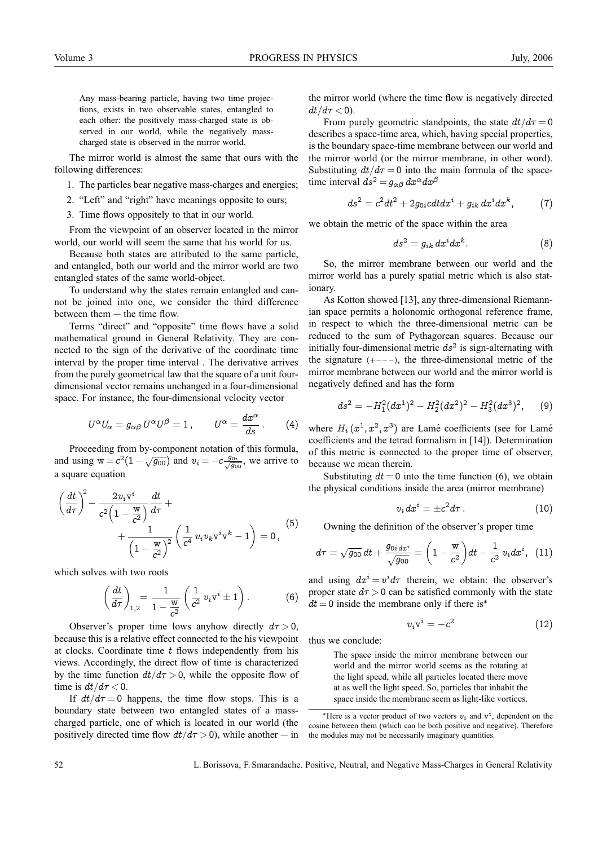Any mass-bearing particle, having two time projections, exists in two observable states, entangled to each other: the positively mass-charged state is observed in our world, while the negatively masscharged state is observed in the mirror world.

The mirror world is almost the same that ours with the following differences:

1. The particles bear negative mass-charges and energies;

2. "Left" and "right" have meanings opposite to ours;

3. Time flows oppositely to that in our world.

From the viewpoint of an observer located in the mirror world, our world will seem the same that his world for us.

Because both states are attributed to the same particle, and entangled, both our world and the mirror world are two entangled states of the same world-object.

To understand why the states remain entangled and cannot be joined into one, we consider the third difference between them — the time flow.

Terms "direct" and "opposite" time flows have a solid mathematical ground in General Relativity. They are connected to the sign of the derivative of the coordinate time interval by the proper time interval . The derivative arrives from the purely geometrical law that the square of a unit fourdimensional vector remains unchanged in a four-dimensional space. For instance, the four-dimensional velocity vector

$$
U^{\alpha}U_{\alpha} = g_{\alpha\beta} U^{\alpha}U^{\beta} = 1, \qquad U^{\alpha} = \frac{dx^{\alpha}}{ds}.
$$
 (4)

Proceeding from by-component notation of this formula, and using  $w = c^2(1 - \sqrt{g_{00}})$  and  $v_i = -c \frac{g_{0i}}{\sqrt{g_{00}}}$ , we arrive to a square equation

$$
\left(\frac{dt}{d\tau}\right)^2 - \frac{2v_i v^i}{c^2 \left(1 - \frac{w}{c^2}\right)} \frac{dt}{d\tau} + \frac{1}{\left(1 - \frac{w}{c^2}\right)^2} \left(\frac{1}{c^4} v_i v_k v^i v^k - 1\right) = 0,
$$
\n(5)

which solves with two roots

$$
\left(\frac{dt}{d\tau}\right)_{1,2} = \frac{1}{1-\frac{w}{c^2}}\left(\frac{1}{c^2}v_iv^i\pm 1\right). \tag{6}
$$

Observer's proper time lows anyhow directly  $d\tau > 0$ , because this is a relative effect connected to the his viewpoint at clocks. Coordinate time  $t$  flows independently from his views. Accordingly, the direct flow of time is characterized by the time function  $dt/d\tau > 0$ , while the opposite flow of time is  $dt/d\tau < 0$ .

If  $dt/d\tau = 0$  happens, the time flow stops. This is a boundary state between two entangled states of a masscharged particle, one of which is located in our world (the positively directed time flow  $dt/d\tau > 0$ , while another — in the mirror world (where the time flow is negatively directed  $dt/d\tau$  < 0).

From purely geometric standpoints, the state  $dt/d\tau = 0$ describes a space-time area, which, having special properties, is the boundary space-time membrane between our world and the mirror world (or the mirror membrane, in other word). Substituting  $dt/d\tau = 0$  into the main formula of the spacetime interval  $ds^2 = g_{\alpha\beta} dx^{\alpha} dx^{\beta}$ 

$$
ds^2=c^2dt^2+2g_{0i}cdt dx^i+g_{ik}\,dx^idx^k,\qquad \quad \ (7)
$$

we obtain the metric of the space within the area

$$
ds^2 = g_{ik} dx^i dx^k. \tag{8}
$$

So, the mirror membrane between our world and the mirror world has a purely spatial metric which is also stationary.

As Kotton showed [13], any three-dimensional Riemannian space permits a holonomic orthogonal reference frame, in respect to which the three-dimensional metric can be reduced to the sum of Pythagorean squares. Because our initially four-dimensional metric  $ds^2$  is sign-alternating with the signature (+−−−), the three-dimensional metric of the mirror membrane between our world and the mirror world is negatively defined and has the form

$$
ds^{2} = -H_{1}^{2}(dx^{1})^{2} - H_{2}^{2}(dx^{2})^{2} - H_{3}^{2}(dx^{3})^{2}, \qquad (9)
$$

where  $H_i(x^1, x^2, x^3)$  are Lamé coefficients (see for Lamé coefficients and the tetrad formalism in [14]). Determination of this metric is connected to the proper time of observer, because we mean therein.

Substituting  $dt = 0$  into the time function (6), we obtain the physical conditions inside the area (mirror membrane)

$$
v_i dx^i = \pm c^2 d\tau \,.
$$
 (10)

Owning the definition of the observer's proper time

$$
d\tau = \sqrt{g_{00}}\, dt + \frac{g_{0i\, dx^i}}{\sqrt{g_{00}}} = \left(1 - \frac{\text{w}}{c^2}\right) dt - \frac{1}{c^2}\, v_i dx^i, \ \, (11)
$$

and using  $dx^i = v^i d\tau$  therein, we obtain: the observer's proper state  $d\tau > 0$  can be satisfied commonly with the state  $dt = 0$  inside the membrane only if there is<sup>\*</sup>

$$
v_i v^i = -c^2 \tag{12}
$$

thus we conclude:

The space inside the mirror membrane between our world and the mirror world seems as the rotating at the light speed, while all particles located there move at as well the light speed. So, particles that inhabit the space inside the membrane seem as light-like vortices.

<sup>\*</sup>Here is a vector product of two vectors  $v_i$  and  $v^i$ , dependent on the cosine between them (which can be both positive and negative). Therefore the modules may not be necessarily imaginary quantities.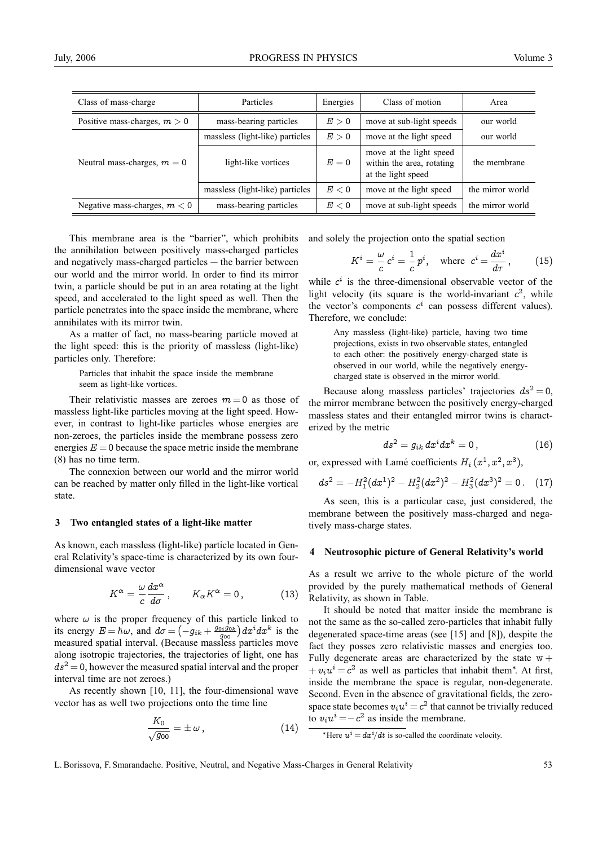| Class of mass-charge           | Particles                       | Energies | Class of motion                                                            | Area             |
|--------------------------------|---------------------------------|----------|----------------------------------------------------------------------------|------------------|
| Positive mass-charges, $m > 0$ | mass-bearing particles          | E>0      | move at sub-light speeds                                                   | our world        |
| Neutral mass-charges, $m = 0$  | massless (light-like) particles | E>0      | move at the light speed                                                    | our world        |
|                                | light-like vortices             | $E=0$    | move at the light speed<br>within the area, rotating<br>at the light speed | the membrane     |
|                                | massless (light-like) particles | E < 0    | move at the light speed                                                    | the mirror world |

Negative mass-charges,  $m < 0$  mass-bearing particles  $E < 0$  move at sub-light speeds the mirror world

This membrane area is the "barrier", which prohibits the annihilation between positively mass-charged particles and negatively mass-charged particles — the barrier between our world and the mirror world. In order to find its mirror twin, a particle should be put in an area rotating at the light speed, and accelerated to the light speed as well. Then the particle penetrates into the space inside the membrane, where annihilates with its mirror twin.

As a matter of fact, no mass-bearing particle moved at the light speed: this is the priority of massless (light-like) particles only. Therefore:

> Particles that inhabit the space inside the membrane seem as light-like vortices.

Their relativistic masses are zeroes  $m = 0$  as those of massless light-like particles moving at the light speed. However, in contrast to light-like particles whose energies are non-zeroes, the particles inside the membrane possess zero energies  $E = 0$  because the space metric inside the membrane (8) has no time term.

The connexion between our world and the mirror world can be reached by matter only filled in the light-like vortical state.

#### **3 Two entangled states of a light-like matter**

As known, each massless (light-like) particle located in General Relativity's space-time is characterized by its own fourdimensional wave vector

$$
K^{\alpha} = \frac{\omega}{c} \frac{dx^{\alpha}}{d\sigma}, \qquad K_{\alpha} K^{\alpha} = 0, \qquad (13)
$$

where  $\omega$  is the proper frequency of this particle linked to its energy  $E = \hbar \omega$ , and  $d\sigma = \left(-g_{ik} + \frac{g_{0i}\hat{g}_{0k}}{g_{00}}\right)dx^i dx^k$  is the measured spatial interval. (Because massless particles move along isotropic trajectories, the trajectories of light, one has  $ds^2 = 0$ , however the measured spatial interval and the proper interval time are not zeroes.)

As recently shown [10, 11], the four-dimensional wave vector has as well two projections onto the time line

$$
\frac{K_0}{\sqrt{g_{00}}} = \pm \,\omega\,,\tag{14}
$$

and solely the projection onto the spatial section

$$
K^{i} = \frac{\omega}{c} c^{i} = \frac{1}{c} p^{i}, \text{ where } c^{i} = \frac{dx^{i}}{d\tau}, \qquad (15)
$$

while  $c^i$  is the three-dimensional observable vector of the light velocity (its square is the world-invariant  $c^2$ , while the vector's components  $c^i$  can possess different values). Therefore, we conclude:

Any massless (light-like) particle, having two time projections, exists in two observable states, entangled to each other: the positively energy-charged state is observed in our world, while the negatively energycharged state is observed in the mirror world.

Because along massless particles' trajectories  $ds^2 = 0$ , the mirror membrane between the positively energy-charged massless states and their entangled mirror twins is characterized by the metric

$$
ds^2=g_{ik}\,dx^idx^k=0\,,\qquad \qquad (16)
$$

or, expressed with Lamé coefficients  $H_i (x^1, x^2, x^3)$ ,

$$
ds^{2} = -H_{1}^{2}(dx^{1})^{2} - H_{2}^{2}(dx^{2})^{2} - H_{3}^{2}(dx^{3})^{2} = 0.
$$
 (17)

As seen, this is a particular case, just considered, the membrane between the positively mass-charged and negatively mass-charge states.

### **4 Neutrosophic picture of General Relativity's world**

As a result we arrive to the whole picture of the world provided by the purely mathematical methods of General Relativity, as shown in Table.

It should be noted that matter inside the membrane is not the same as the so-called zero-particles that inhabit fully degenerated space-time areas (see [15] and [8]), despite the fact they posses zero relativistic masses and energies too. Fully degenerate areas are characterized by the state  $w +$  $+ v_i u^i = c^2$  as well as particles that inhabit them<sup>\*</sup>. At first, inside the membrane the space is regular, non-degenerate. Second. Even in the absence of gravitational fields, the zerospace state becomes  $v_i u^i = c^2$  that cannot be trivially reduced to  $v_i u^i = -c^2$  as inside the membrane.

<sup>\*</sup>Here  $u^i = dx^i/dt$  is so-called the coordinate velocity.

L. Borissova, F. Smarandache. Positive, Neutral, and Negative Mass-Charges in General Relativity 53